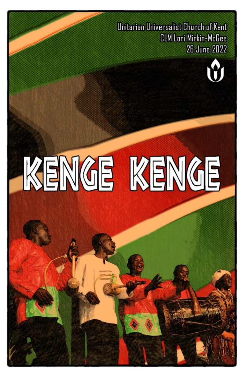Unitarian Universalist Church of Kent **CLM Lori Mirkin-McGee 26 June 2022** 



# KENGE KENGE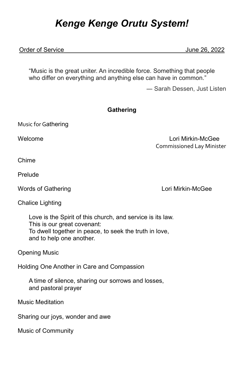# *Kenge Kenge Orutu System!*

### Order of Service June 26, 2022

"Music is the great uniter. An incredible force. Something that people who differ on everything and anything else can have in common."

― Sarah Dessen, [Just Listen](https://www.goodreads.com/work/quotes/1032901)

### **Gathering**

Music for Gathering

Welcome Lori Mirkin-McGee Commissioned Lay Minister

Chime

Prelude

Words of Gathering **Lori Mirkin-McGee** 

Chalice Lighting

Love is the Spirit of this church, and service is its law. This is our great covenant: To dwell together in peace, to seek the truth in love, and to help one another.

Opening Music

Holding One Another in Care and Compassion

A time of silence, sharing our sorrows and losses, and pastoral prayer

Music Meditation

Sharing our joys, wonder and awe

Music of Community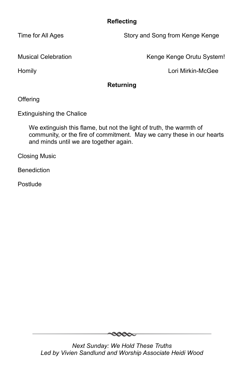## **Reflecting**

Time for All Ages Time for All Ages Story and Song from Kenge Kenge

Musical Celebration **Kenge Kenge Orutu System!** 

Homily Lori Mirkin-McGee

### **Returning**

**Offering** 

Extinguishing the Chalice

We extinguish this flame, but not the light of truth, the warmth of community, or the fire of commitment. May we carry these in our hearts and minds until we are together again.

Closing Music

**Benediction** 

Postlude

 $\infty$ 

*Next Sunday: We Hold These Truths Led by Vivien Sandlund and Worship Associate Heidi Wood*